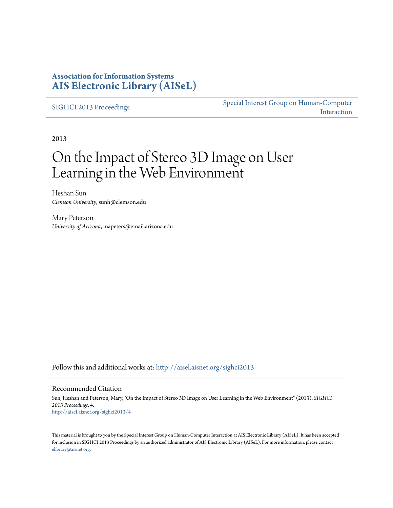## **Association for Information Systems [AIS Electronic Library \(AISeL\)](http://aisel.aisnet.org?utm_source=aisel.aisnet.org%2Fsighci2013%2F4&utm_medium=PDF&utm_campaign=PDFCoverPages)**

[SIGHCI 2013 Proceedings](http://aisel.aisnet.org/sighci2013?utm_source=aisel.aisnet.org%2Fsighci2013%2F4&utm_medium=PDF&utm_campaign=PDFCoverPages)

[Special Interest Group on Human-Computer](http://aisel.aisnet.org/sighci?utm_source=aisel.aisnet.org%2Fsighci2013%2F4&utm_medium=PDF&utm_campaign=PDFCoverPages) [Interaction](http://aisel.aisnet.org/sighci?utm_source=aisel.aisnet.org%2Fsighci2013%2F4&utm_medium=PDF&utm_campaign=PDFCoverPages)

2013

# On the Impact of Stereo 3D Image on User Learning in the Web Environment

Heshan Sun *Clemson University*, sunh@clemson.edu

Mary Peterson *University of Arizona*, mapeters@email.arizona.edu

Follow this and additional works at: [http://aisel.aisnet.org/sighci2013](http://aisel.aisnet.org/sighci2013?utm_source=aisel.aisnet.org%2Fsighci2013%2F4&utm_medium=PDF&utm_campaign=PDFCoverPages)

#### Recommended Citation

Sun, Heshan and Peterson, Mary, "On the Impact of Stereo 3D Image on User Learning in the Web Environment" (2013). *SIGHCI 2013 Proceedings*. 4. [http://aisel.aisnet.org/sighci2013/4](http://aisel.aisnet.org/sighci2013/4?utm_source=aisel.aisnet.org%2Fsighci2013%2F4&utm_medium=PDF&utm_campaign=PDFCoverPages)

This material is brought to you by the Special Interest Group on Human-Computer Interaction at AIS Electronic Library (AISeL). It has been accepted for inclusion in SIGHCI 2013 Proceedings by an authorized administrator of AIS Electronic Library (AISeL). For more information, please contact [elibrary@aisnet.org.](mailto:elibrary@aisnet.org%3E)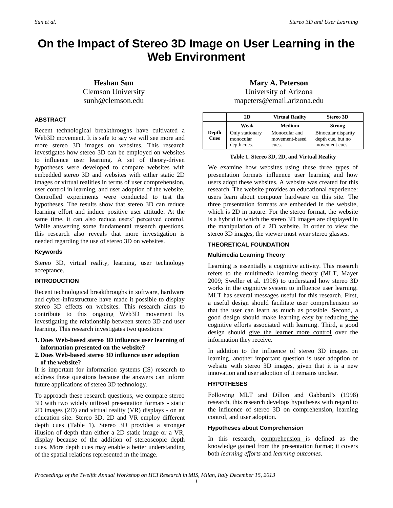# **On the Impact of Stereo 3D Image on User Learning in the Web Environment**

**Heshan Sun** Clemson University sunh@clemson.edu

#### **ABSTRACT**

Recent technological breakthroughs have cultivated a Web3D movement. It is safe to say we will see more and more stereo 3D images on websites. This research investigates how stereo 3D can be employed on websites to influence user learning. A set of theory-driven hypotheses were developed to compare websites with embedded stereo 3D and websites with either static 2D images or virtual realities in terms of user comprehension, user control in learning, and user adoption of the website. Controlled experiments were conducted to test the hypotheses. The results show that stereo 3D can reduce learning effort and induce positive user attitude. At the same time, it can also reduce users' perceived control. While answering some fundamental research questions, this research also reveals that more investigation is needed regarding the use of stereo 3D on websites.

#### **Keywords**

Stereo 3D, virtual reality, learning, user technology acceptance.

#### **INTRODUCTION**

Recent technological breakthroughs in software, hardware and cyber-infrastructure have made it possible to display stereo 3D effects on websites. This research aims to contribute to this ongoing Web3D movement by investigating the relationship between stereo 3D and user learning. This research investigates two questions:

- **1. Does Web-based stereo 3D influence user learning of information presented on the website?**
- **2. Does Web-based stereo 3D influence user adoption of the website?**

It is important for information systems (IS) research to address these questions because the answers can inform future applications of stereo 3D technology.

To approach these research questions, we compare stereo 3D with two widely utilized presentation formats - static 2D images (2D) and virtual reality (VR) displays - on an education site. Stereo 3D, 2D and VR employ different depth cues (Table 1). Stereo 3D provides a stronger illusion of depth than either a 2D static image or a VR, display because of the addition of stereoscopic depth cues. More depth cues may enable a better understanding of the spatial relations represented in the image.

### **Mary A. Peterson**

University of Arizona mapeters@email.arizona.edu

|                      | 2D                                          | <b>Virtual Reality</b>                   | <b>Stereo 3D</b>                                           |
|----------------------|---------------------------------------------|------------------------------------------|------------------------------------------------------------|
| <b>Depth</b><br>Cues | Weak                                        | <b>Medium</b>                            | <b>Strong</b>                                              |
|                      | Only stationary<br>monocular<br>depth cues. | Monocular and<br>movement-based<br>cues. | Binocular disparity<br>depth cue, but no<br>movement cues. |

#### **Table 1. Stereo 3D, 2D, and Virtual Reality**

We examine how websites using these three types of presentation formats influence user learning and how users adopt these websites. A website was created for this research. The website provides an educational experience: users learn about computer hardware on this site. The three presentation formats are embedded in the website, which is 2D in nature. For the stereo format, the website is a hybrid in which the stereo 3D images are displayed in the manipulation of a 2D website. In order to view the stereo 3D images, the viewer must wear stereo glasses.

#### **THEORETICAL FOUNDATION**

#### **Multimedia Learning Theory**

Learning is essentially a cognitive activity. This research refers to the multimedia learning theory (MLT, Mayer 2009; Sweller et al. 1998) to understand how stereo 3D works in the cognitive system to influence user learning. MLT has several messages useful for this research. First, a useful design should facilitate user comprehension so that the user can learn as much as possible. Second, a good design should make learning easy by reducing the cognitive efforts associated with learning. Third, a good design should give the learner more control over the information they receive.

In addition to the influence of stereo 3D images on learning, another important question is user adoption of website with stereo 3D images, given that it is a new innovation and user adoption of it remains unclear.

#### **HYPOTHESES**

Following MLT and Dillon and Gabbard's (1998) research, this research develops hypotheses with regard to the influence of stereo 3D on comprehension, learning control, and user adoption.

#### **Hypotheses about Comprehension**

In this research, comprehension is defined as the knowledge gained from the presentation format; it covers both *learning efforts* and *learning outcomes*.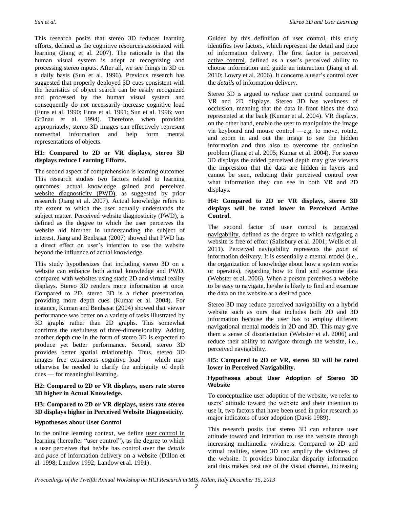This research posits that stereo 3D reduces learning efforts, defined as the cognitive resources associated with learning (Jiang et al. 2007). The rationale is that the human visual system is adept at recognizing and processing stereo inputs. After all, we see things in 3D on a daily basis (Sun et al. 1996). Previous research has suggested that properly deployed 3D cues consistent with the heuristics of object search can be easily recognized and processed by the human visual system and consequently do not necessarily increase cognitive load (Enns et al. 1990; Enns et al. 1991; Sun et al. 1996; von Grünau et al. 1994). Therefore, when provided appropriately, stereo 3D images can effectively represent nonverbal information and help form mental representations of objects.

#### **H1: Compared to 2D or VR displays, stereo 3D displays reduce Learning Efforts.**

The second aspect of comprehension is learning outcomes This research studies two factors related to learning outcomes: actual knowledge gained and perceived website diagnosticity (PWD), as suggested by prior research (Jiang et al. 2007). Actual knowledge refers to the extent to which the user actually understands the subject matter. Perceived website diagnosticity (PWD), is defined as the degree to which the user perceives the website aid him/her in understanding the subject of interest. Jiang and Benbasat (2007) showed that PWD has a direct effect on user's intention to use the website beyond the influence of actual knowledge.

This study hypothesizes that including stereo 3D on a website can enhance both actual knowledge and PWD, compared with websites using static 2D and virtual reality displays. Stereo 3D renders more information at once. Compared to 2D, stereo 3D is a richer presentation, providing more depth cues (Kumar et al. 2004). For instance, Kuman and Benbasat (2004) showed that viewer performance was better on a variety of tasks illustrated by 3D graphs rather than 2D graphs. This somewhat confirms the usefulness of three-dimensionality. Adding another depth cue in the form of stereo 3D is expected to produce yet better performance. Second, stereo 3D provides better spatial relationship. Thus, stereo 3D images free extraneous cognitive load — which may otherwise be needed to clarify the ambiguity of depth cues — for meaningful learning.

#### **H2: Compared to 2D or VR displays, users rate stereo 3D higher in Actual Knowledge.**

#### **H3: Compared to 2D or VR displays, users rate stereo 3D displays higher in Perceived Website Diagnosticity.**

#### **Hypotheses about User Control**

In the online learning context, we define user control in learning (hereafter "user control"), as the degree to which a user perceives that he/she has control over the *details* and *pace* of information delivery on a website (Dillon et al. 1998; Landow 1992; Landow et al. 1991).

Guided by this definition of user control, this study identifies two factors, which represent the detail and pace of information delivery. The first factor is perceived active control, defined as a user's perceived ability to choose information and guide an interaction (Jiang et al. 2010; Lowry et al. 2006). It concerns a user's control over the *details* of information delivery.

Stereo 3D is argued to *reduce* user control compared to VR and 2D displays. Stereo 3D has weakness of occlusion, meaning that the data in front hides the data represented at the back (Kumar et al. 2004). VR displays, on the other hand, enable the user to manipulate the image via keyboard and mouse control ―e.g. to move, rotate, and zoom in and out the image to see the hidden information and thus also to overcome the occlusion problem (Jiang et al. 2005; Kumar et al. 2004). For stereo 3D displays the added perceived depth may give viewers the impression that the data are hidden in layers and cannot be seen, reducing their perceived control over what information they can see in both VR and 2D displays.

#### **H4: Compared to 2D or VR displays, stereo 3D displays will be rated lower in Perceived Active Control.**

The second factor of user control is perceived navigability, defined as the degree to which navigating a website is free of effort (Salisbury et al. 2001; Wells et al. 2011). Perceived navigability represents the *pace* of information delivery. It is essentially a mental model (i.e., the organization of knowledge about how a system works or operates), regarding how to find and examine data (Webster et al. 2006). When a person perceives a website to be easy to navigate, he/she is likely to find and examine the data on the website at a desired pace.

Stereo 3D may reduce perceived navigability on a hybrid website such as ours that includes both 2D and 3D information because the user has to employ different navigational mental models in 2D and 3D. This may give them a sense of disorientation (Webster et al. 2006) and reduce their ability to navigate through the website, i.e., perceived navigability.

#### **H5: Compared to 2D or VR, stereo 3D will be rated lower in Perceived Navigability.**

#### **Hypotheses about User Adoption of Stereo 3D Website**

To conceptualize user adoption of the website, we refer to users' attitude toward the website and their intention to use it, two factors that have been used in prior research as major indicators of user adoption (Davis 1989).

This research posits that stereo 3D can enhance user attitude toward and intention to use the website through increasing multimedia vividness. Compared to 2D and virtual realities, stereo 3D can amplify the vividness of the website. It provides binocular disparity information and thus makes best use of the visual channel, increasing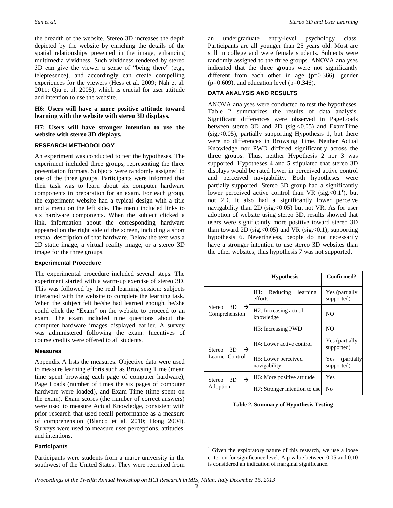the breadth of the website. Stereo 3D increases the depth depicted by the website by enriching the details of the spatial relationships presented in the image, enhancing multimedia vividness. Such vividness rendered by stereo 3D can give the viewer a sense of "being there" (e.g., telepresence), and accordingly can create compelling experiences for the viewers (Hess et al. 2009; Nah et al. 2011; Qiu et al. 2005), which is crucial for user attitude and intention to use the website.

**H6: Users will have a more positive attitude toward learning with the website with stereo 3D displays.**

#### **H7: Users will have stronger intention to use the website with stereo 3D displays.**

#### **RESEARCH METHODOLOGY**

An experiment was conducted to test the hypotheses. The experiment included three groups, representing the three presentation formats. Subjects were randomly assigned to one of the three groups. Participants were informed that their task was to learn about six computer hardware components in preparation for an exam. For each group, the experiment website had a typical design with a title and a menu on the left side. The menu included links to six hardware components. When the subject clicked a link, information about the corresponding hardware appeared on the right side of the screen, including a short textual description of that hardware. Below the text was a 2D static image, a virtual reality image, or a stereo 3D image for the three groups.

#### **Experimental Procedure**

The experimental procedure included several steps. The experiment started with a warm-up exercise of stereo 3D. This was followed by the real learning session: subjects interacted with the website to complete the learning task. When the subject felt he/she had learned enough, he/she could click the "Exam" on the website to proceed to an exam. The exam included nine questions about the computer hardware images displayed earlier. A survey was administered following the exam. Incentives of course credits were offered to all students.

#### **Measures**

Appendix A lists the measures. Objective data were used to measure learning efforts such as Browsing Time (mean time spent browsing each page of computer hardware), Page Loads (number of times the six pages of computer hardware were loaded), and Exam Time (time spent on the exam). Exam scores (the number of correct answers) were used to measure Actual Knowledge, consistent with prior research that used recall performance as a measure of comprehension (Blanco et al. 2010; Hong 2004). Surveys were used to measure user perceptions, attitudes, and intentions.

#### **Participants**

Participants were students from a major university in the southwest of the United States. They were recruited from an undergraduate entry-level psychology class. Participants are all younger than 25 years old. Most are still in college and were female students. Subjects were randomly assigned to the three groups. ANOVA analyses indicated that the three groups were not significantly different from each other in age  $(p=0.366)$ , gender  $(p=0.609)$ , and education level ( $p=0.346$ ).

#### **DATA ANALYSIS AND RESULTS**

ANOVA analyses were conducted to test the hypotheses. Table 2 summarizes the results of data analysis. Significant differences were observed in PageLoads between stereo 3D and 2D (sig.<0.05) and ExamTime  $(sig. <0.05)$ , partially supporting Hypothesis 1, but there were no differences in Browsing Time. Neither Actual Knowledge nor PWD differed significantly across the three groups. Thus, neither Hypothesis 2 nor 3 was supported. Hypotheses 4 and 5 stipulated that stereo 3D displays would be rated lower in perceived active control and perceived navigability. Both hypotheses were partially supported. Stereo 3D group had a significantly lower perceived active control than VR (sig.  $< 0.1^1$ ), but not 2D. It also had a significantly lower perceive navigability than 2D (sig.  $< 0.05$ ) but not VR. As for user adoption of website using stereo 3D, results showed that users were significantly more positive toward stereo 3D than toward 2D (sig. <  $0.05$ ) and VR (sig. <  $0.1$ ), supporting hypothesis 6. Nevertheless, people do not necessarily have a stronger intention to use stereo 3D websites than the other websites; thus hypothesis 7 was not supported.

|                                    | <b>Hypothesis</b>                                | Confirmed?                       |
|------------------------------------|--------------------------------------------------|----------------------------------|
|                                    | Reducing<br>H1:<br>learning<br>efforts           | Yes (partially<br>supported)     |
| 3D<br>Stereo<br>→<br>Comprehension | H <sub>2</sub> : Increasing actual<br>knowledge  | NO.                              |
|                                    | H <sub>3</sub> : Increasing PWD                  | NO.                              |
| 3D<br>Stereo                       | H4: Lower active control                         | Yes (partially<br>supported)     |
| Learner Control                    | H <sub>5</sub> : Lower perceived<br>navigability | (partially)<br>Yes<br>supported) |
| Stereo 3D                          | H <sub>6</sub> : More positive attitude          | Yes                              |
| Adoption                           | H7: Stronger intention to use                    | No                               |

**Table 2. Summary of Hypothesis Testing**

 $\overline{a}$ 

 $1$  Given the exploratory nature of this research, we use a loose criterion for significance level. A p value between 0.05 and 0.10 is considered an indication of marginal significance.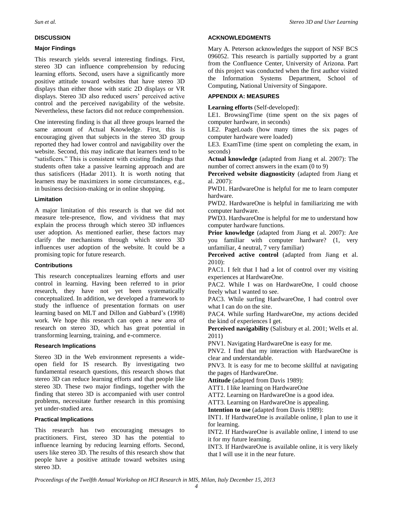#### **DISCUSSION**

#### **Major Findings**

This research yields several interesting findings. First, stereo 3D can influence comprehension by reducing learning efforts. Second, users have a significantly more positive attitude toward websites that have stereo 3D displays than either those with static 2D displays or VR displays. Stereo 3D also reduced users' perceived active control and the perceived navigability of the website. Nevertheless, these factors did not reduce comprehension.

One interesting finding is that all three groups learned the same amount of Actual Knowledge. First, this is encouraging given that subjects in the stereo 3D group reported they had lower control and navigability over the website. Second, this may indicate that learners tend to be "satisficers." This is consistent with existing findings that students often take a passive learning approach and are thus satisficers (Hadar 2011). It is worth noting that learners may be maximizers in some circumstances, e.g., in business decision-making or in online shopping.

#### **Limitation**

A major limitation of this research is that we did not measure tele-presence, flow, and vividness that may explain the process through which stereo 3D influences user adoption. As mentioned earlier, these factors may clarify the mechanisms through which stereo 3D influences user adoption of the website. It could be a promising topic for future research.

#### **Contributions**

This research conceptualizes learning efforts and user control in learning. Having been referred to in prior research, they have not yet been systematically conceptualized. In addition, we developed a framework to study the influence of presentation formats on user learning based on MLT and Dillon and Gabbard's (1998) work. We hope this research can open a new area of research on stereo 3D, which has great potential in transforming learning, training, and e-commerce.

#### **Research Implications**

Stereo 3D in the Web environment represents a wideopen field for IS research. By investigating two fundamental research questions, this research shows that stereo 3D can reduce learning efforts and that people like stereo 3D. These two major findings, together with the finding that stereo 3D is accompanied with user control problems, necessitate further research in this promising yet under-studied area.

#### **Practical Implications**

This research has two encouraging messages to practitioners. First, stereo 3D has the potential to influence learning by reducing learning efforts. Second, users like stereo 3D. The results of this research show that people have a positive attitude toward websites using stereo 3D.

#### **ACKNOWLEDGMENTS**

Mary A. Peterson acknowledges the support of NSF BCS 096052. This research is partially supported by a grant from the Confluence Center, University of Arizona. Part of this project was conducted when the first author visited the Information Systems Department, School of Computing, National University of Singapore.

#### **APPENDIX A: MEASURES**

**Learning efforts** (Self-developed):

LE1. BrowsingTime (time spent on the six pages of computer hardware, in seconds)

LE2. PageLoads (how many times the six pages of computer hardware were loaded)

LE3. ExamTime (time spent on completing the exam, in seconds)

**Actual knowledge** (adapted from Jiang et al. 2007): The number of correct answers in the exam (0 to 9)

**Perceived website diagnosticity** (adapted from Jiang et al. 2007):

PWD1. HardwareOne is helpful for me to learn computer hardware.

PWD2. HardwareOne is helpful in familiarizing me with computer hardware.

PWD3. HardwareOne is helpful for me to understand how computer hardware functions.

**Prior knowledge** (adapted from Jiang et al. 2007): Are you familiar with computer hardware? (1, very unfamiliar, 4 neutral, 7 very familiar)

**Perceived active control** (adapted from Jiang et al. 2010):

PAC1. I felt that I had a lot of control over my visiting experiences at HardwareOne.

PAC2. While I was on HardwareOne, I could choose freely what I wanted to see.

PAC3. While surfing HardwareOne, I had control over what I can do on the site.

PAC4. While surfing HardwareOne, my actions decided the kind of experiences I get.

**Perceived navigability** (Salisbury et al. 2001; Wells et al. 2011)

PNV1. Navigating HardwareOne is easy for me.

PNV2. I find that my interaction with HardwareOne is clear and understandable.

PNV3. It is easy for me to become skillful at navigating the pages of HardwareOne.

**Attitude** (adapted from Davis 1989):

ATT1. I like learning on HardwareOne

ATT2. Learning on HardwareOne is a good idea.

ATT3. Learning on HardwareOne is appealing.

**Intention to use** (adapted from Davis 1989):

INT1. If HardwareOne is available online, I plan to use it for learning.

INT2. If HardwareOne is available online, I intend to use it for my future learning.

INT3. If HardwareOne is available online, it is very likely that I will use it in the near future.